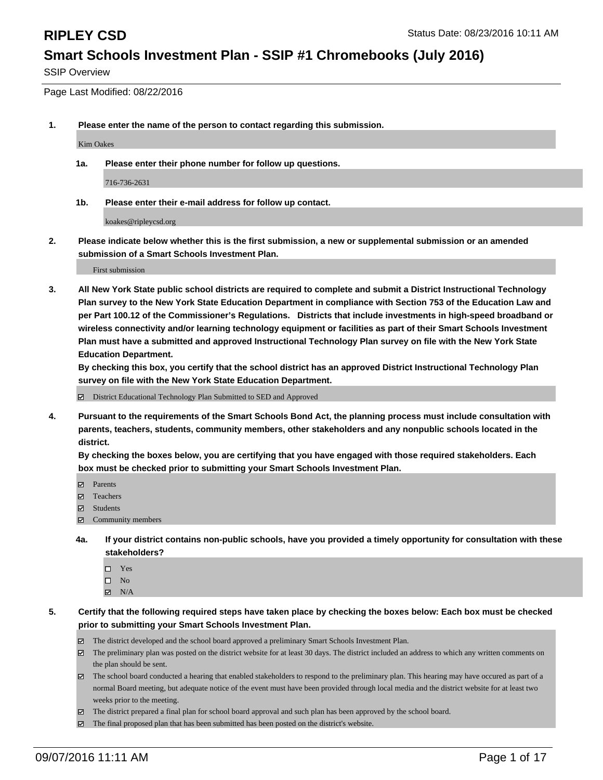SSIP Overview

Page Last Modified: 08/22/2016

**1. Please enter the name of the person to contact regarding this submission.**

Kim Oakes

**1a. Please enter their phone number for follow up questions.**

716-736-2631

**1b. Please enter their e-mail address for follow up contact.**

koakes@ripleycsd.org

**2. Please indicate below whether this is the first submission, a new or supplemental submission or an amended submission of a Smart Schools Investment Plan.**

First submission

**3. All New York State public school districts are required to complete and submit a District Instructional Technology Plan survey to the New York State Education Department in compliance with Section 753 of the Education Law and per Part 100.12 of the Commissioner's Regulations. Districts that include investments in high-speed broadband or wireless connectivity and/or learning technology equipment or facilities as part of their Smart Schools Investment Plan must have a submitted and approved Instructional Technology Plan survey on file with the New York State Education Department.** 

**By checking this box, you certify that the school district has an approved District Instructional Technology Plan survey on file with the New York State Education Department.**

District Educational Technology Plan Submitted to SED and Approved

**4. Pursuant to the requirements of the Smart Schools Bond Act, the planning process must include consultation with parents, teachers, students, community members, other stakeholders and any nonpublic schools located in the district.** 

**By checking the boxes below, you are certifying that you have engaged with those required stakeholders. Each box must be checked prior to submitting your Smart Schools Investment Plan.**

- Parents
- Teachers
- **☑** Students
- Community members
- **4a. If your district contains non-public schools, have you provided a timely opportunity for consultation with these stakeholders?**
	- $\Box$  Yes  $\square$  No
	- $\boxtimes$  N/A
- **5. Certify that the following required steps have taken place by checking the boxes below: Each box must be checked prior to submitting your Smart Schools Investment Plan.**
	- The district developed and the school board approved a preliminary Smart Schools Investment Plan.
	- The preliminary plan was posted on the district website for at least 30 days. The district included an address to which any written comments on the plan should be sent.
	- The school board conducted a hearing that enabled stakeholders to respond to the preliminary plan. This hearing may have occured as part of a normal Board meeting, but adequate notice of the event must have been provided through local media and the district website for at least two weeks prior to the meeting.
	- The district prepared a final plan for school board approval and such plan has been approved by the school board.
	- $\boxtimes$  The final proposed plan that has been submitted has been posted on the district's website.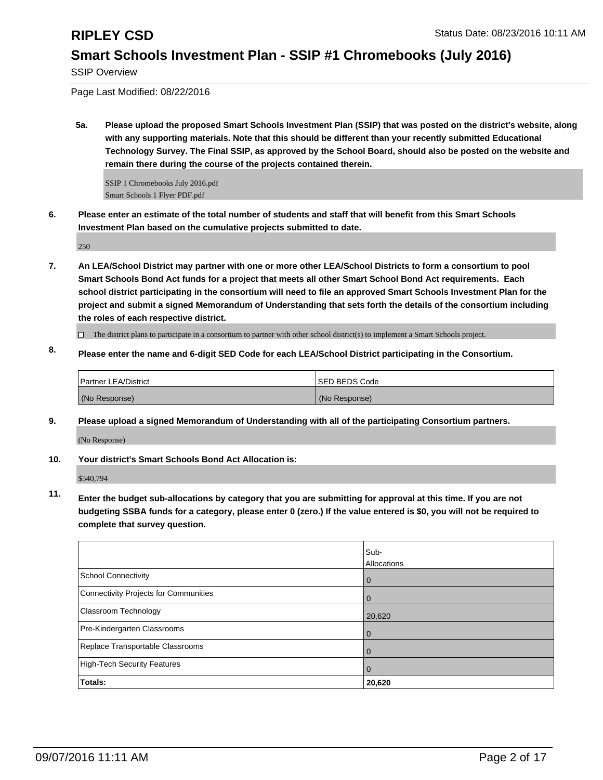SSIP Overview

Page Last Modified: 08/22/2016

**5a. Please upload the proposed Smart Schools Investment Plan (SSIP) that was posted on the district's website, along with any supporting materials. Note that this should be different than your recently submitted Educational Technology Survey. The Final SSIP, as approved by the School Board, should also be posted on the website and remain there during the course of the projects contained therein.**

SSIP 1 Chromebooks July 2016.pdf Smart Schools 1 Flyer PDF.pdf

**6. Please enter an estimate of the total number of students and staff that will benefit from this Smart Schools Investment Plan based on the cumulative projects submitted to date.**

250

**7. An LEA/School District may partner with one or more other LEA/School Districts to form a consortium to pool Smart Schools Bond Act funds for a project that meets all other Smart School Bond Act requirements. Each school district participating in the consortium will need to file an approved Smart Schools Investment Plan for the project and submit a signed Memorandum of Understanding that sets forth the details of the consortium including the roles of each respective district.**

 $\Box$  The district plans to participate in a consortium to partner with other school district(s) to implement a Smart Schools project.

**8. Please enter the name and 6-digit SED Code for each LEA/School District participating in the Consortium.**

| Partner LEA/District | <b>ISED BEDS Code</b> |  |
|----------------------|-----------------------|--|
| (No Response)        | (No Response)         |  |

**9. Please upload a signed Memorandum of Understanding with all of the participating Consortium partners.** (No Response)

**10. Your district's Smart Schools Bond Act Allocation is:**

\$540,794

**11. Enter the budget sub-allocations by category that you are submitting for approval at this time. If you are not budgeting SSBA funds for a category, please enter 0 (zero.) If the value entered is \$0, you will not be required to complete that survey question.**

|                                       | Sub-<br>Allocations |
|---------------------------------------|---------------------|
| School Connectivity                   | $\bf{0}$            |
| Connectivity Projects for Communities | O                   |
| Classroom Technology                  | 20,620              |
| Pre-Kindergarten Classrooms           | 0                   |
| Replace Transportable Classrooms      |                     |
| High-Tech Security Features           | 0                   |
| Totals:                               | 20,620              |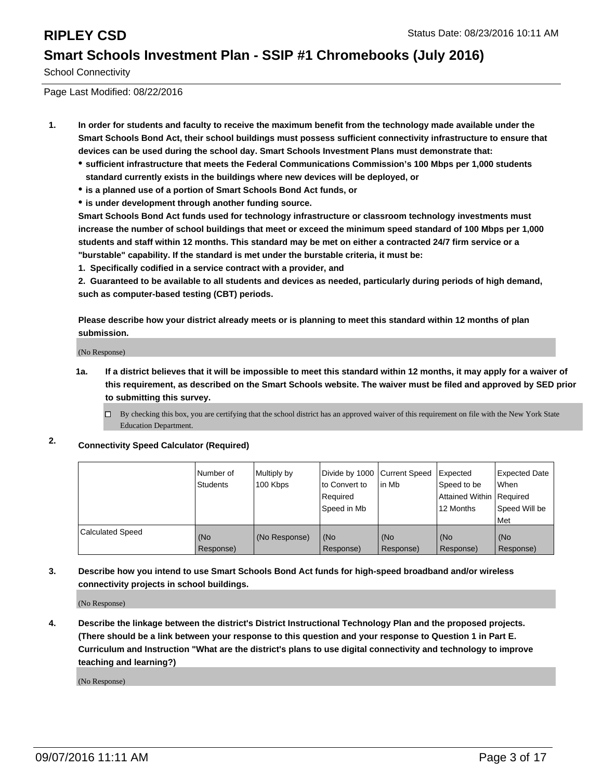School Connectivity

Page Last Modified: 08/22/2016

- **1. In order for students and faculty to receive the maximum benefit from the technology made available under the Smart Schools Bond Act, their school buildings must possess sufficient connectivity infrastructure to ensure that devices can be used during the school day. Smart Schools Investment Plans must demonstrate that:**
	- **sufficient infrastructure that meets the Federal Communications Commission's 100 Mbps per 1,000 students standard currently exists in the buildings where new devices will be deployed, or**
	- **is a planned use of a portion of Smart Schools Bond Act funds, or**
	- **is under development through another funding source.**

**Smart Schools Bond Act funds used for technology infrastructure or classroom technology investments must increase the number of school buildings that meet or exceed the minimum speed standard of 100 Mbps per 1,000 students and staff within 12 months. This standard may be met on either a contracted 24/7 firm service or a "burstable" capability. If the standard is met under the burstable criteria, it must be:**

**1. Specifically codified in a service contract with a provider, and**

**2. Guaranteed to be available to all students and devices as needed, particularly during periods of high demand, such as computer-based testing (CBT) periods.**

**Please describe how your district already meets or is planning to meet this standard within 12 months of plan submission.**

(No Response)

- **1a. If a district believes that it will be impossible to meet this standard within 12 months, it may apply for a waiver of this requirement, as described on the Smart Schools website. The waiver must be filed and approved by SED prior to submitting this survey.**
	- $\Box$  By checking this box, you are certifying that the school district has an approved waiver of this requirement on file with the New York State Education Department.
- **2. Connectivity Speed Calculator (Required)**

|                         | Number of<br><b>Students</b> | Multiply by<br>100 Kbps | Divide by 1000 Current Speed<br>to Convert to<br>Required<br>Speed in Mb | lin Mb           | Expected<br>Speed to be<br>Attained Within Required<br>12 Months | Expected Date<br>l When<br>Speed Will be<br>l Met |
|-------------------------|------------------------------|-------------------------|--------------------------------------------------------------------------|------------------|------------------------------------------------------------------|---------------------------------------------------|
| <b>Calculated Speed</b> | (No<br>Response)             | (No Response)           | (No<br>Response)                                                         | (No<br>Response) | (No<br>Response)                                                 | (No<br>Response)                                  |

### **3. Describe how you intend to use Smart Schools Bond Act funds for high-speed broadband and/or wireless connectivity projects in school buildings.**

(No Response)

**4. Describe the linkage between the district's District Instructional Technology Plan and the proposed projects. (There should be a link between your response to this question and your response to Question 1 in Part E. Curriculum and Instruction "What are the district's plans to use digital connectivity and technology to improve teaching and learning?)**

(No Response)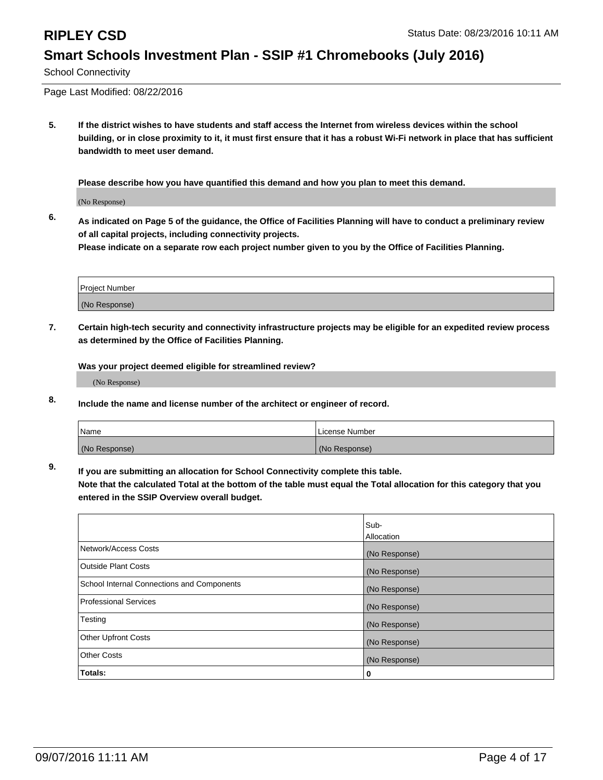School Connectivity

Page Last Modified: 08/22/2016

**5. If the district wishes to have students and staff access the Internet from wireless devices within the school building, or in close proximity to it, it must first ensure that it has a robust Wi-Fi network in place that has sufficient bandwidth to meet user demand.**

**Please describe how you have quantified this demand and how you plan to meet this demand.**

(No Response)

**6. As indicated on Page 5 of the guidance, the Office of Facilities Planning will have to conduct a preliminary review of all capital projects, including connectivity projects.**

**Please indicate on a separate row each project number given to you by the Office of Facilities Planning.**

| Project Number |  |
|----------------|--|
| (No Response)  |  |

**7. Certain high-tech security and connectivity infrastructure projects may be eligible for an expedited review process as determined by the Office of Facilities Planning.**

**Was your project deemed eligible for streamlined review?**

(No Response)

**8. Include the name and license number of the architect or engineer of record.**

| Name          | License Number |
|---------------|----------------|
| (No Response) | (No Response)  |

**9. If you are submitting an allocation for School Connectivity complete this table.**

**Note that the calculated Total at the bottom of the table must equal the Total allocation for this category that you entered in the SSIP Overview overall budget.** 

|                                            | Sub-          |
|--------------------------------------------|---------------|
|                                            | Allocation    |
| Network/Access Costs                       | (No Response) |
| <b>Outside Plant Costs</b>                 | (No Response) |
| School Internal Connections and Components | (No Response) |
| <b>Professional Services</b>               | (No Response) |
| Testing                                    | (No Response) |
| <b>Other Upfront Costs</b>                 | (No Response) |
| <b>Other Costs</b>                         | (No Response) |
| Totals:                                    | 0             |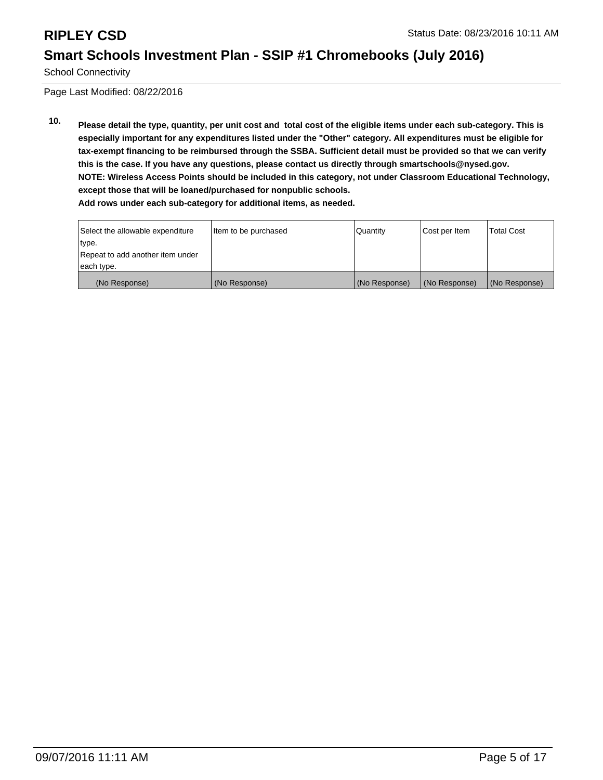School Connectivity

Page Last Modified: 08/22/2016

**10. Please detail the type, quantity, per unit cost and total cost of the eligible items under each sub-category. This is especially important for any expenditures listed under the "Other" category. All expenditures must be eligible for tax-exempt financing to be reimbursed through the SSBA. Sufficient detail must be provided so that we can verify this is the case. If you have any questions, please contact us directly through smartschools@nysed.gov. NOTE: Wireless Access Points should be included in this category, not under Classroom Educational Technology, except those that will be loaned/purchased for nonpublic schools. Add rows under each sub-category for additional items, as needed.**

| Select the allowable expenditure | Item to be purchased | Quantity      | Cost per Item | <b>Total Cost</b> |
|----------------------------------|----------------------|---------------|---------------|-------------------|
| type.                            |                      |               |               |                   |
| Repeat to add another item under |                      |               |               |                   |
| each type.                       |                      |               |               |                   |
| (No Response)                    | (No Response)        | (No Response) | (No Response) | (No Response)     |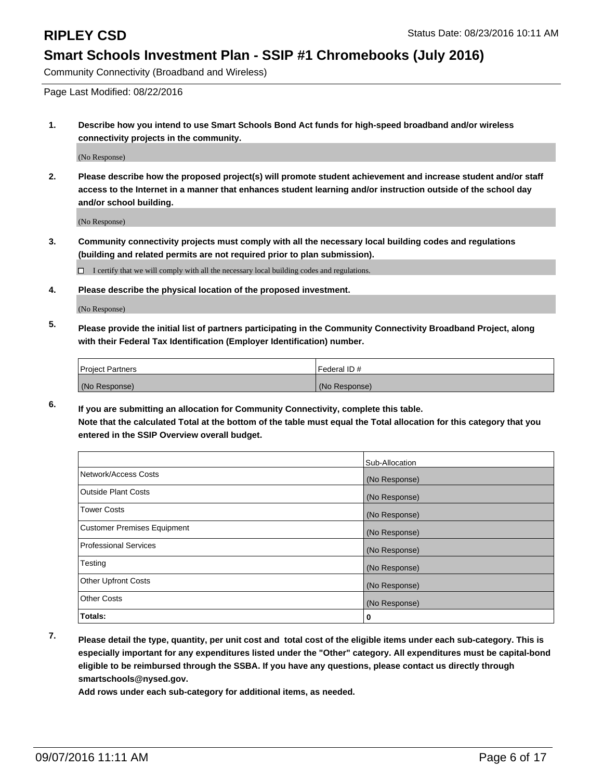Community Connectivity (Broadband and Wireless)

Page Last Modified: 08/22/2016

**1. Describe how you intend to use Smart Schools Bond Act funds for high-speed broadband and/or wireless connectivity projects in the community.**

(No Response)

**2. Please describe how the proposed project(s) will promote student achievement and increase student and/or staff access to the Internet in a manner that enhances student learning and/or instruction outside of the school day and/or school building.**

(No Response)

**3. Community connectivity projects must comply with all the necessary local building codes and regulations (building and related permits are not required prior to plan submission).**

 $\Box$  I certify that we will comply with all the necessary local building codes and regulations.

**4. Please describe the physical location of the proposed investment.**

(No Response)

**5. Please provide the initial list of partners participating in the Community Connectivity Broadband Project, along with their Federal Tax Identification (Employer Identification) number.**

| <b>Project Partners</b> | Federal ID#   |
|-------------------------|---------------|
| (No Response)           | (No Response) |

**6. If you are submitting an allocation for Community Connectivity, complete this table. Note that the calculated Total at the bottom of the table must equal the Total allocation for this category that you entered in the SSIP Overview overall budget.**

|                                    | Sub-Allocation |
|------------------------------------|----------------|
| Network/Access Costs               | (No Response)  |
| <b>Outside Plant Costs</b>         | (No Response)  |
| Tower Costs                        | (No Response)  |
| <b>Customer Premises Equipment</b> | (No Response)  |
| <b>Professional Services</b>       | (No Response)  |
| Testing                            | (No Response)  |
| <b>Other Upfront Costs</b>         | (No Response)  |
| <b>Other Costs</b>                 | (No Response)  |
| Totals:                            | 0              |

**7. Please detail the type, quantity, per unit cost and total cost of the eligible items under each sub-category. This is especially important for any expenditures listed under the "Other" category. All expenditures must be capital-bond eligible to be reimbursed through the SSBA. If you have any questions, please contact us directly through smartschools@nysed.gov.**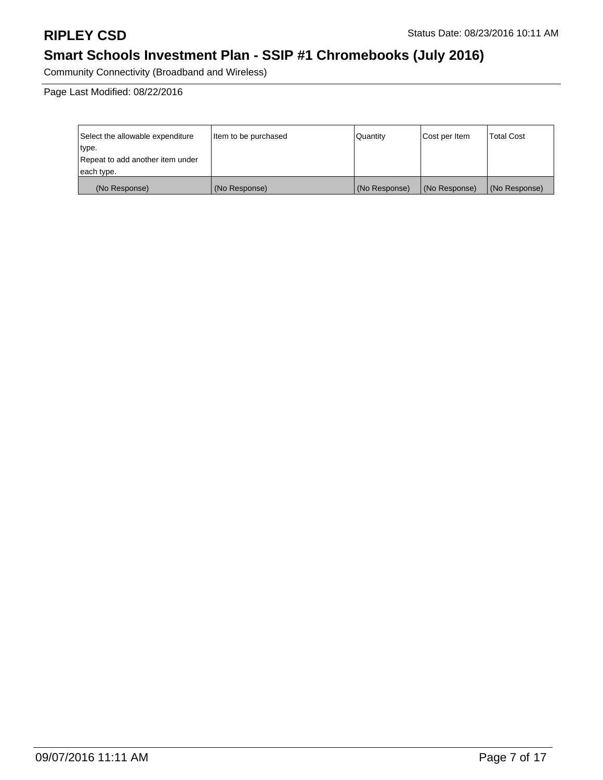Community Connectivity (Broadband and Wireless)

Page Last Modified: 08/22/2016

| Select the allowable expenditure | litem to be purchased | Quantity      | Cost per Item | <b>Total Cost</b> |
|----------------------------------|-----------------------|---------------|---------------|-------------------|
| type.                            |                       |               |               |                   |
| Repeat to add another item under |                       |               |               |                   |
| each type.                       |                       |               |               |                   |
| (No Response)                    | (No Response)         | (No Response) | (No Response) | (No Response)     |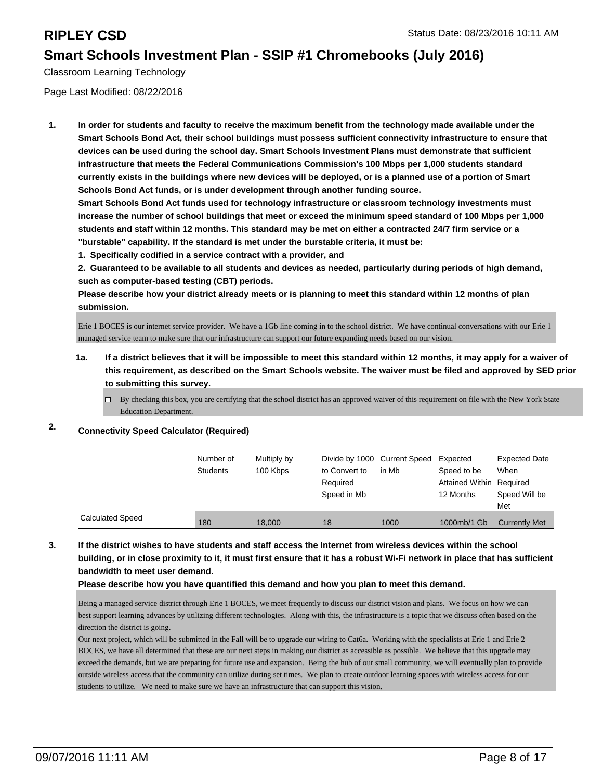Classroom Learning Technology

Page Last Modified: 08/22/2016

**1. In order for students and faculty to receive the maximum benefit from the technology made available under the Smart Schools Bond Act, their school buildings must possess sufficient connectivity infrastructure to ensure that devices can be used during the school day. Smart Schools Investment Plans must demonstrate that sufficient infrastructure that meets the Federal Communications Commission's 100 Mbps per 1,000 students standard currently exists in the buildings where new devices will be deployed, or is a planned use of a portion of Smart Schools Bond Act funds, or is under development through another funding source.**

**Smart Schools Bond Act funds used for technology infrastructure or classroom technology investments must increase the number of school buildings that meet or exceed the minimum speed standard of 100 Mbps per 1,000 students and staff within 12 months. This standard may be met on either a contracted 24/7 firm service or a "burstable" capability. If the standard is met under the burstable criteria, it must be:**

**1. Specifically codified in a service contract with a provider, and**

**2. Guaranteed to be available to all students and devices as needed, particularly during periods of high demand, such as computer-based testing (CBT) periods.**

**Please describe how your district already meets or is planning to meet this standard within 12 months of plan submission.**

Erie 1 BOCES is our internet service provider. We have a 1Gb line coming in to the school district. We have continual conversations with our Erie 1 managed service team to make sure that our infrastructure can support our future expanding needs based on our vision.

- **1a. If a district believes that it will be impossible to meet this standard within 12 months, it may apply for a waiver of this requirement, as described on the Smart Schools website. The waiver must be filed and approved by SED prior to submitting this survey.**
	- $\Box$  By checking this box, you are certifying that the school district has an approved waiver of this requirement on file with the New York State Education Department.

### **2. Connectivity Speed Calculator (Required)**

|                         | Number of<br><b>Students</b> | Multiply by<br>100 Kbps | Divide by 1000 Current Speed<br>Ito Convert to<br>l Reauired<br> Speed in Mb | lin Mb | Expected<br>Speed to be<br>Attained Within Required<br>12 Months | Expected Date<br><b>When</b><br>Speed Will be<br>l Met |
|-------------------------|------------------------------|-------------------------|------------------------------------------------------------------------------|--------|------------------------------------------------------------------|--------------------------------------------------------|
| <b>Calculated Speed</b> | 180                          | 18,000                  | 18                                                                           | 1000   | 1000mb/1 Gb                                                      | <b>Currently Met</b>                                   |

**3. If the district wishes to have students and staff access the Internet from wireless devices within the school building, or in close proximity to it, it must first ensure that it has a robust Wi-Fi network in place that has sufficient bandwidth to meet user demand.**

**Please describe how you have quantified this demand and how you plan to meet this demand.**

Being a managed service district through Erie 1 BOCES, we meet frequently to discuss our district vision and plans. We focus on how we can best support learning advances by utilizing different technologies. Along with this, the infrastructure is a topic that we discuss often based on the direction the district is going.

Our next project, which will be submitted in the Fall will be to upgrade our wiring to Cat6a. Working with the specialists at Erie 1 and Erie 2 BOCES, we have all determined that these are our next steps in making our district as accessible as possible. We believe that this upgrade may exceed the demands, but we are preparing for future use and expansion. Being the hub of our small community, we will eventually plan to provide outside wireless access that the community can utilize during set times. We plan to create outdoor learning spaces with wireless access for our students to utilize. We need to make sure we have an infrastructure that can support this vision.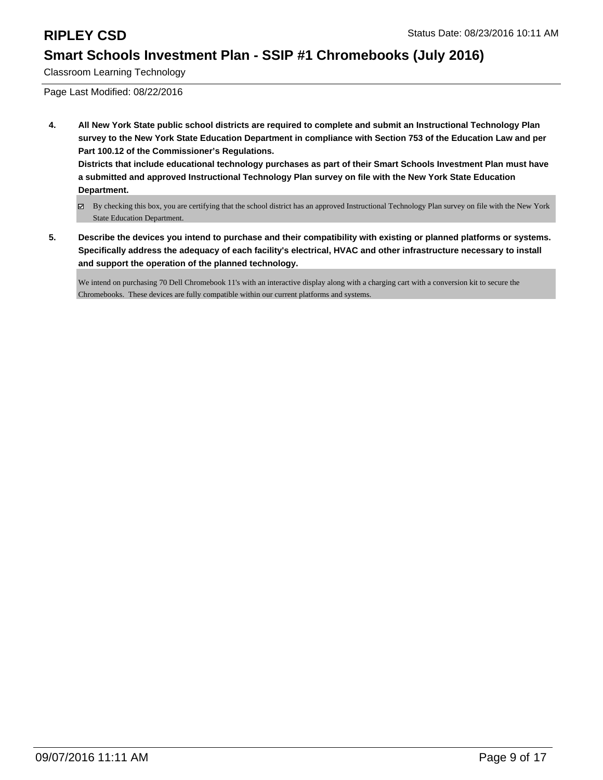Classroom Learning Technology

Page Last Modified: 08/22/2016

**4. All New York State public school districts are required to complete and submit an Instructional Technology Plan survey to the New York State Education Department in compliance with Section 753 of the Education Law and per Part 100.12 of the Commissioner's Regulations. Districts that include educational technology purchases as part of their Smart Schools Investment Plan must have**

**a submitted and approved Instructional Technology Plan survey on file with the New York State Education Department.**

- By checking this box, you are certifying that the school district has an approved Instructional Technology Plan survey on file with the New York State Education Department.
- **5. Describe the devices you intend to purchase and their compatibility with existing or planned platforms or systems. Specifically address the adequacy of each facility's electrical, HVAC and other infrastructure necessary to install and support the operation of the planned technology.**

We intend on purchasing 70 Dell Chromebook 11's with an interactive display along with a charging cart with a conversion kit to secure the Chromebooks. These devices are fully compatible within our current platforms and systems.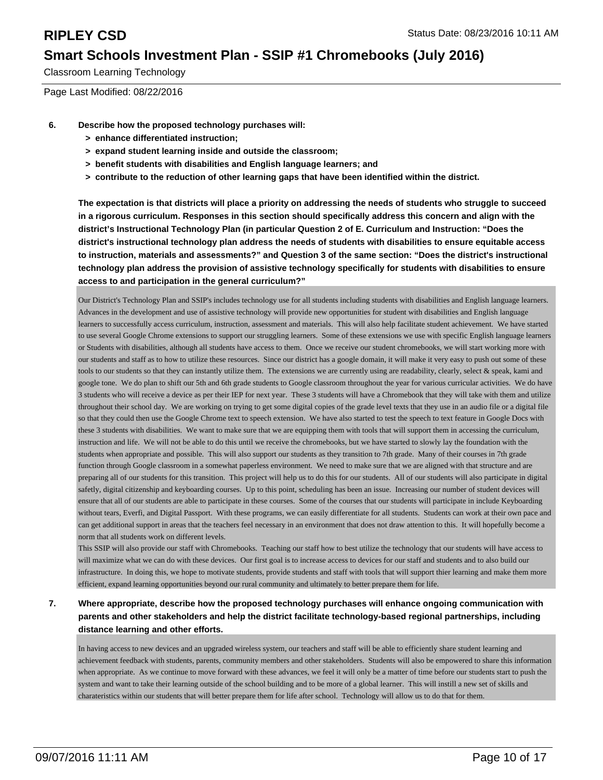Classroom Learning Technology

Page Last Modified: 08/22/2016

- **6. Describe how the proposed technology purchases will:**
	- **> enhance differentiated instruction;**
	- **> expand student learning inside and outside the classroom;**
	- **> benefit students with disabilities and English language learners; and**
	- **> contribute to the reduction of other learning gaps that have been identified within the district.**

**The expectation is that districts will place a priority on addressing the needs of students who struggle to succeed in a rigorous curriculum. Responses in this section should specifically address this concern and align with the district's Instructional Technology Plan (in particular Question 2 of E. Curriculum and Instruction: "Does the district's instructional technology plan address the needs of students with disabilities to ensure equitable access to instruction, materials and assessments?" and Question 3 of the same section: "Does the district's instructional technology plan address the provision of assistive technology specifically for students with disabilities to ensure access to and participation in the general curriculum?"**

Our District's Technology Plan and SSIP's includes technology use for all students including students with disabilities and English language learners. Advances in the development and use of assistive technology will provide new opportunities for student with disabilities and English language learners to successfully access curriculum, instruction, assessment and materials. This will also help facilitate student achievement. We have started to use several Google Chrome extensions to support our struggling learners. Some of these extensions we use with specific English language learners or Students with disabilities, although all students have access to them. Once we receive our student chromebooks, we will start working more with our students and staff as to how to utilize these resources. Since our district has a google domain, it will make it very easy to push out some of these tools to our students so that they can instantly utilize them. The extensions we are currently using are readability, clearly, select & speak, kami and google tone. We do plan to shift our 5th and 6th grade students to Google classroom throughout the year for various curricular activities. We do have 3 students who will receive a device as per their IEP for next year. These 3 students will have a Chromebook that they will take with them and utilize throughout their school day. We are working on trying to get some digital copies of the grade level texts that they use in an audio file or a digital file so that they could then use the Google Chrome text to speech extension. We have also started to test the speech to text feature in Google Docs with these 3 students with disabilities. We want to make sure that we are equipping them with tools that will support them in accessing the curriculum, instruction and life. We will not be able to do this until we receive the chromebooks, but we have started to slowly lay the foundation with the students when appropriate and possible. This will also support our students as they transition to 7th grade. Many of their courses in 7th grade function through Google classroom in a somewhat paperless environment. We need to make sure that we are aligned with that structure and are preparing all of our students for this transition. This project will help us to do this for our students. All of our students will also participate in digital safetly, digital citizenship and keyboarding courses. Up to this point, scheduling has been an issue. Increasing our number of student devices will ensure that all of our students are able to participate in these courses. Some of the courses that our students will participate in include Keyboarding without tears, Everfi, and Digital Passport. With these programs, we can easily differentiate for all students. Students can work at their own pace and can get additional support in areas that the teachers feel necessary in an environment that does not draw attention to this. It will hopefully become a norm that all students work on different levels.

This SSIP will also provide our staff with Chromebooks. Teaching our staff how to best utilize the technology that our students will have access to will maximize what we can do with these devices. Our first goal is to increase access to devices for our staff and students and to also build our infrastructure. In doing this, we hope to motivate students, provide students and staff with tools that will support thier learning and make them more efficient, expand learning opportunities beyond our rural community and ultimately to better prepare them for life.

**7. Where appropriate, describe how the proposed technology purchases will enhance ongoing communication with parents and other stakeholders and help the district facilitate technology-based regional partnerships, including distance learning and other efforts.**

In having access to new devices and an upgraded wireless system, our teachers and staff will be able to efficiently share student learning and achievement feedback with students, parents, community members and other stakeholders. Students will also be empowered to share this information when appropriate. As we continue to move forward with these advances, we feel it will only be a matter of time before our students start to push the system and want to take their learning outside of the school building and to be more of a global learner. This will instill a new set of skills and charateristics within our students that will better prepare them for life after school. Technology will allow us to do that for them.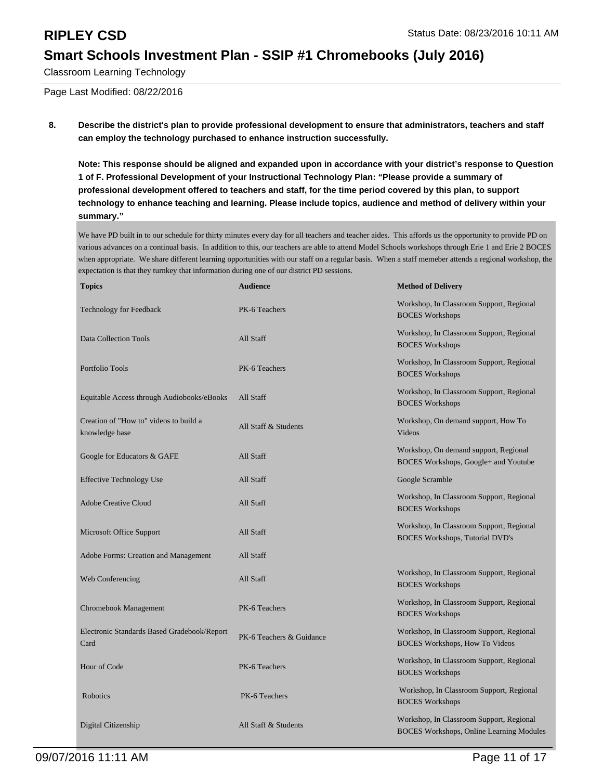Classroom Learning Technology

Page Last Modified: 08/22/2016

### **8. Describe the district's plan to provide professional development to ensure that administrators, teachers and staff can employ the technology purchased to enhance instruction successfully.**

**Note: This response should be aligned and expanded upon in accordance with your district's response to Question 1 of F. Professional Development of your Instructional Technology Plan: "Please provide a summary of professional development offered to teachers and staff, for the time period covered by this plan, to support technology to enhance teaching and learning. Please include topics, audience and method of delivery within your summary."**

We have PD built in to our schedule for thirty minutes every day for all teachers and teacher aides. This affords us the opportunity to provide PD on various advances on a continual basis. In addition to this, our teachers are able to attend Model Schools workshops through Erie 1 and Erie 2 BOCES when appropriate. We share different learning opportunities with our staff on a regular basis. When a staff memeber attends a regional workshop, the expectation is that they turnkey that information during one of our district PD sessions.

| Topics                                                   | Audience                 | <b>Method of Delivery</b>                                                                   |
|----------------------------------------------------------|--------------------------|---------------------------------------------------------------------------------------------|
| Technology for Feedback                                  | PK-6 Teachers            | Workshop, In Classroom Support, Regional<br><b>BOCES</b> Workshops                          |
| Data Collection Tools                                    | All Staff                | Workshop, In Classroom Support, Regional<br><b>BOCES</b> Workshops                          |
| Portfolio Tools                                          | PK-6 Teachers            | Workshop, In Classroom Support, Regional<br><b>BOCES</b> Workshops                          |
| Equitable Access through Audiobooks/eBooks               | All Staff                | Workshop, In Classroom Support, Regional<br><b>BOCES</b> Workshops                          |
| Creation of "How to" videos to build a<br>knowledge base | All Staff & Students     | Workshop, On demand support, How To<br>Videos                                               |
| Google for Educators & GAFE                              | All Staff                | Workshop, On demand support, Regional<br>BOCES Workshops, Google+ and Youtube               |
| Effective Technology Use                                 | All Staff                | Google Scramble                                                                             |
| <b>Adobe Creative Cloud</b>                              | All Staff                | Workshop, In Classroom Support, Regional<br><b>BOCES</b> Workshops                          |
| Microsoft Office Support                                 | All Staff                | Workshop, In Classroom Support, Regional<br>BOCES Workshops, Tutorial DVD's                 |
| Adobe Forms: Creation and Management                     | All Staff                |                                                                                             |
| Web Conferencing                                         | All Staff                | Workshop, In Classroom Support, Regional<br><b>BOCES</b> Workshops                          |
| Chromebook Management                                    | PK-6 Teachers            | Workshop, In Classroom Support, Regional<br><b>BOCES</b> Workshops                          |
| Electronic Standards Based Gradebook/Report<br>Card      | PK-6 Teachers & Guidance | Workshop, In Classroom Support, Regional<br>BOCES Workshops, How To Videos                  |
| Hour of Code                                             | PK-6 Teachers            | Workshop, In Classroom Support, Regional<br><b>BOCES</b> Workshops                          |
| Robotics                                                 | PK-6 Teachers            | Workshop, In Classroom Support, Regional<br><b>BOCES</b> Workshops                          |
| Digital Citizenship                                      | All Staff & Students     | Workshop, In Classroom Support, Regional<br><b>BOCES Workshops, Online Learning Modules</b> |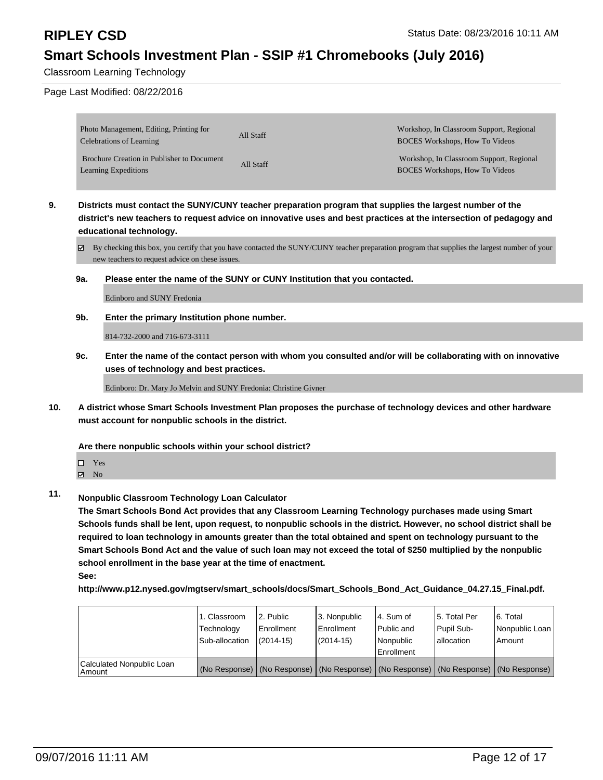Classroom Learning Technology

### Page Last Modified: 08/22/2016

| Photo Management, Editing, Printing for<br>Celebrations of Learning       | All Staff | Workshop, In Classroom Support, Regional<br><b>BOCES Workshops, How To Videos</b> |
|---------------------------------------------------------------------------|-----------|-----------------------------------------------------------------------------------|
| Brochure Creation in Publisher to Document<br><b>Learning Expeditions</b> | All Staff | Workshop, In Classroom Support, Regional<br><b>BOCES Workshops, How To Videos</b> |

**9. Districts must contact the SUNY/CUNY teacher preparation program that supplies the largest number of the district's new teachers to request advice on innovative uses and best practices at the intersection of pedagogy and educational technology.**

By checking this box, you certify that you have contacted the SUNY/CUNY teacher preparation program that supplies the largest number of your new teachers to request advice on these issues.

**9a. Please enter the name of the SUNY or CUNY Institution that you contacted.**

Edinboro and SUNY Fredonia

**9b. Enter the primary Institution phone number.**

814-732-2000 and 716-673-3111

**9c. Enter the name of the contact person with whom you consulted and/or will be collaborating with on innovative uses of technology and best practices.**

Edinboro: Dr. Mary Jo Melvin and SUNY Fredonia: Christine Givner

**10. A district whose Smart Schools Investment Plan proposes the purchase of technology devices and other hardware must account for nonpublic schools in the district.**

**Are there nonpublic schools within your school district?**

| ΙI | Y<br>es |
|----|---------|
|    |         |

- No
- **11. Nonpublic Classroom Technology Loan Calculator**

**The Smart Schools Bond Act provides that any Classroom Learning Technology purchases made using Smart Schools funds shall be lent, upon request, to nonpublic schools in the district. However, no school district shall be required to loan technology in amounts greater than the total obtained and spent on technology pursuant to the Smart Schools Bond Act and the value of such loan may not exceed the total of \$250 multiplied by the nonpublic school enrollment in the base year at the time of enactment.**

**See:**

**http://www.p12.nysed.gov/mgtserv/smart\_schools/docs/Smart\_Schools\_Bond\_Act\_Guidance\_04.27.15\_Final.pdf.**

|                                       | 1. Classroom<br>Technology | 2. Public<br>l Enrollment | l 3. Nonpublic<br>Enrollment | l 4. Sum of<br>Public and | 15. Total Per<br>Pupil Sub-                                                                   | 6. Total<br>Nonpublic Loan |
|---------------------------------------|----------------------------|---------------------------|------------------------------|---------------------------|-----------------------------------------------------------------------------------------------|----------------------------|
|                                       | Sub-allocation             | $(2014 - 15)$             | (2014-15)                    | l Nonpublic               | lallocation                                                                                   | Amount                     |
|                                       |                            |                           |                              | Enrollment                |                                                                                               |                            |
| Calculated Nonpublic Loan<br>  Amount |                            |                           |                              |                           | (No Response)   (No Response)   (No Response)   (No Response)   (No Response)   (No Response) |                            |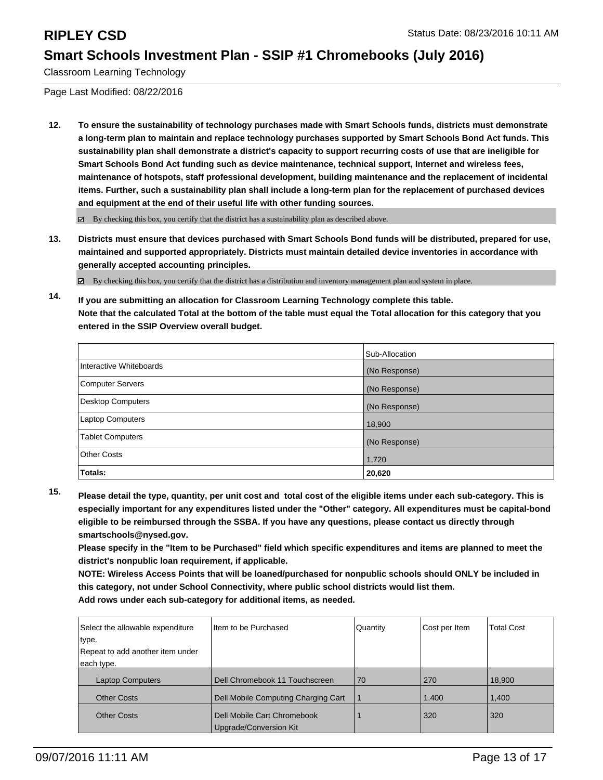Classroom Learning Technology

Page Last Modified: 08/22/2016

**12. To ensure the sustainability of technology purchases made with Smart Schools funds, districts must demonstrate a long-term plan to maintain and replace technology purchases supported by Smart Schools Bond Act funds. This sustainability plan shall demonstrate a district's capacity to support recurring costs of use that are ineligible for Smart Schools Bond Act funding such as device maintenance, technical support, Internet and wireless fees, maintenance of hotspots, staff professional development, building maintenance and the replacement of incidental items. Further, such a sustainability plan shall include a long-term plan for the replacement of purchased devices and equipment at the end of their useful life with other funding sources.**

 $\boxtimes$  By checking this box, you certify that the district has a sustainability plan as described above.

**13. Districts must ensure that devices purchased with Smart Schools Bond funds will be distributed, prepared for use, maintained and supported appropriately. Districts must maintain detailed device inventories in accordance with generally accepted accounting principles.**

By checking this box, you certify that the district has a distribution and inventory management plan and system in place.

**14. If you are submitting an allocation for Classroom Learning Technology complete this table. Note that the calculated Total at the bottom of the table must equal the Total allocation for this category that you entered in the SSIP Overview overall budget.**

|                         | Sub-Allocation |
|-------------------------|----------------|
| Interactive Whiteboards | (No Response)  |
| Computer Servers        | (No Response)  |
| Desktop Computers       | (No Response)  |
| <b>Laptop Computers</b> | 18,900         |
| <b>Tablet Computers</b> | (No Response)  |
| Other Costs             | 1,720          |
| Totals:                 | 20,620         |

**15. Please detail the type, quantity, per unit cost and total cost of the eligible items under each sub-category. This is especially important for any expenditures listed under the "Other" category. All expenditures must be capital-bond eligible to be reimbursed through the SSBA. If you have any questions, please contact us directly through smartschools@nysed.gov.**

**Please specify in the "Item to be Purchased" field which specific expenditures and items are planned to meet the district's nonpublic loan requirement, if applicable.**

**NOTE: Wireless Access Points that will be loaned/purchased for nonpublic schools should ONLY be included in this category, not under School Connectivity, where public school districts would list them. Add rows under each sub-category for additional items, as needed.**

| Aud Tows under each sub-category for additional items, as needed. |  |
|-------------------------------------------------------------------|--|
|                                                                   |  |
|                                                                   |  |

| Select the allowable expenditure | Iltem to be Purchased               | Quantity | Cost per Item | <b>Total Cost</b> |
|----------------------------------|-------------------------------------|----------|---------------|-------------------|
| type.                            |                                     |          |               |                   |
| Repeat to add another item under |                                     |          |               |                   |
| each type.                       |                                     |          |               |                   |
| <b>Laptop Computers</b>          | Dell Chromebook 11 Touchscreen      | 70       | 270           | 18,900            |
| <b>Other Costs</b>               | Dell Mobile Computing Charging Cart |          | 1.400         | 1,400             |
| <b>Other Costs</b>               | Dell Mobile Cart Chromebook         |          | 320           | 320               |
|                                  | Upgrade/Conversion Kit              |          |               |                   |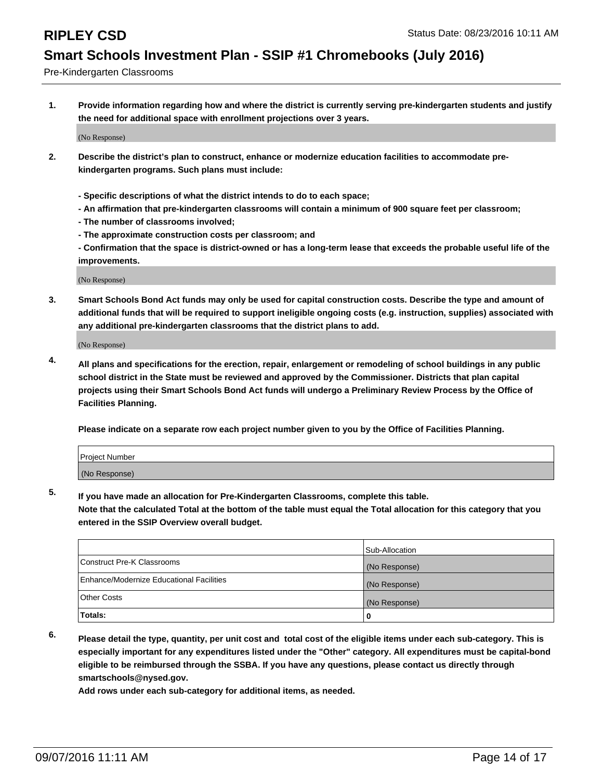Pre-Kindergarten Classrooms

**1. Provide information regarding how and where the district is currently serving pre-kindergarten students and justify the need for additional space with enrollment projections over 3 years.**

(No Response)

- **2. Describe the district's plan to construct, enhance or modernize education facilities to accommodate prekindergarten programs. Such plans must include:**
	- **Specific descriptions of what the district intends to do to each space;**
	- **An affirmation that pre-kindergarten classrooms will contain a minimum of 900 square feet per classroom;**
	- **The number of classrooms involved;**
	- **The approximate construction costs per classroom; and**
	- **Confirmation that the space is district-owned or has a long-term lease that exceeds the probable useful life of the improvements.**

(No Response)

**3. Smart Schools Bond Act funds may only be used for capital construction costs. Describe the type and amount of additional funds that will be required to support ineligible ongoing costs (e.g. instruction, supplies) associated with any additional pre-kindergarten classrooms that the district plans to add.**

(No Response)

**4. All plans and specifications for the erection, repair, enlargement or remodeling of school buildings in any public school district in the State must be reviewed and approved by the Commissioner. Districts that plan capital projects using their Smart Schools Bond Act funds will undergo a Preliminary Review Process by the Office of Facilities Planning.**

**Please indicate on a separate row each project number given to you by the Office of Facilities Planning.**

| <b>Project Number</b> |  |
|-----------------------|--|
| (No Response)         |  |

**5. If you have made an allocation for Pre-Kindergarten Classrooms, complete this table.**

**Note that the calculated Total at the bottom of the table must equal the Total allocation for this category that you entered in the SSIP Overview overall budget.**

|                                          | Sub-Allocation |
|------------------------------------------|----------------|
| Construct Pre-K Classrooms               | (No Response)  |
| Enhance/Modernize Educational Facilities | (No Response)  |
| Other Costs                              | (No Response)  |
| Totals:                                  | 0              |

**6. Please detail the type, quantity, per unit cost and total cost of the eligible items under each sub-category. This is especially important for any expenditures listed under the "Other" category. All expenditures must be capital-bond eligible to be reimbursed through the SSBA. If you have any questions, please contact us directly through smartschools@nysed.gov.**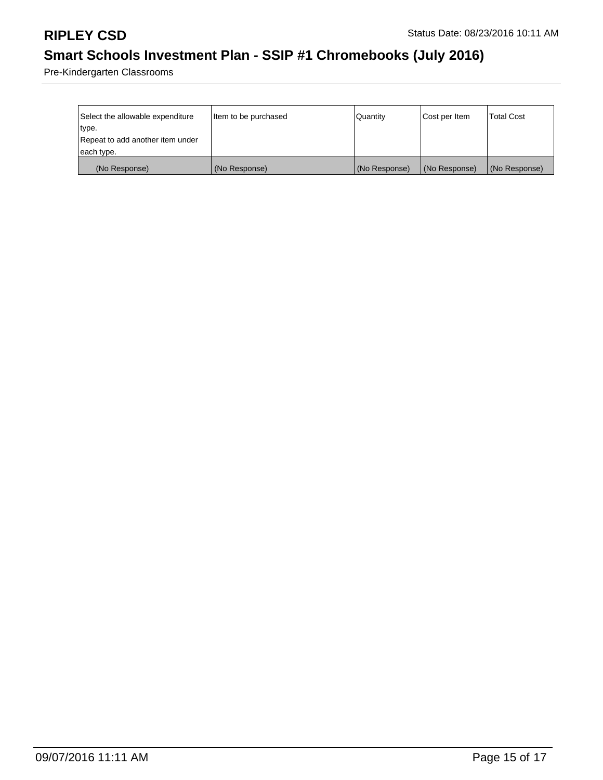Pre-Kindergarten Classrooms

| Select the allowable expenditure | litem to be purchased | Quantity      | Cost per Item | <b>Total Cost</b> |
|----------------------------------|-----------------------|---------------|---------------|-------------------|
| type.                            |                       |               |               |                   |
| Repeat to add another item under |                       |               |               |                   |
| each type.                       |                       |               |               |                   |
| (No Response)                    | (No Response)         | (No Response) | (No Response) | (No Response)     |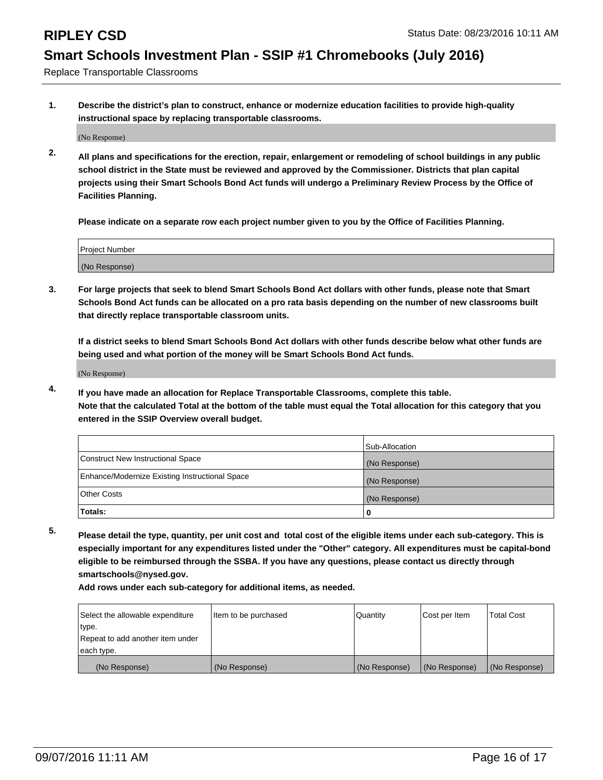Replace Transportable Classrooms

**1. Describe the district's plan to construct, enhance or modernize education facilities to provide high-quality instructional space by replacing transportable classrooms.**

(No Response)

**2. All plans and specifications for the erection, repair, enlargement or remodeling of school buildings in any public school district in the State must be reviewed and approved by the Commissioner. Districts that plan capital projects using their Smart Schools Bond Act funds will undergo a Preliminary Review Process by the Office of Facilities Planning.**

**Please indicate on a separate row each project number given to you by the Office of Facilities Planning.**

| Project Number |  |
|----------------|--|
| (No Response)  |  |

**3. For large projects that seek to blend Smart Schools Bond Act dollars with other funds, please note that Smart Schools Bond Act funds can be allocated on a pro rata basis depending on the number of new classrooms built that directly replace transportable classroom units.**

**If a district seeks to blend Smart Schools Bond Act dollars with other funds describe below what other funds are being used and what portion of the money will be Smart Schools Bond Act funds.**

(No Response)

**4. If you have made an allocation for Replace Transportable Classrooms, complete this table. Note that the calculated Total at the bottom of the table must equal the Total allocation for this category that you entered in the SSIP Overview overall budget.**

|                                                | Sub-Allocation |
|------------------------------------------------|----------------|
| Construct New Instructional Space              | (No Response)  |
| Enhance/Modernize Existing Instructional Space | (No Response)  |
| Other Costs                                    | (No Response)  |
| Totals:                                        | 0              |

**5. Please detail the type, quantity, per unit cost and total cost of the eligible items under each sub-category. This is especially important for any expenditures listed under the "Other" category. All expenditures must be capital-bond eligible to be reimbursed through the SSBA. If you have any questions, please contact us directly through smartschools@nysed.gov.**

| Select the allowable expenditure | Item to be purchased | Quantity      | Cost per Item | <b>Total Cost</b> |
|----------------------------------|----------------------|---------------|---------------|-------------------|
| type.                            |                      |               |               |                   |
| Repeat to add another item under |                      |               |               |                   |
| each type.                       |                      |               |               |                   |
| (No Response)                    | (No Response)        | (No Response) | (No Response) | (No Response)     |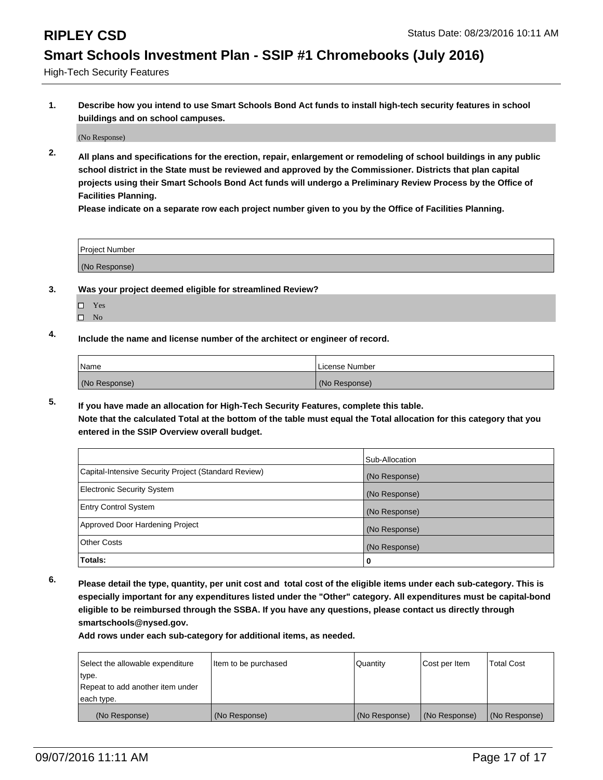High-Tech Security Features

**1. Describe how you intend to use Smart Schools Bond Act funds to install high-tech security features in school buildings and on school campuses.**

(No Response)

**2. All plans and specifications for the erection, repair, enlargement or remodeling of school buildings in any public school district in the State must be reviewed and approved by the Commissioner. Districts that plan capital projects using their Smart Schools Bond Act funds will undergo a Preliminary Review Process by the Office of Facilities Planning.** 

**Please indicate on a separate row each project number given to you by the Office of Facilities Planning.**

| Project Number |  |
|----------------|--|
| (No Response)  |  |

### **3. Was your project deemed eligible for streamlined Review?**

- Yes
- $\square$  No

### **4. Include the name and license number of the architect or engineer of record.**

| <b>Name</b>   | License Number |
|---------------|----------------|
| (No Response) | (No Response)  |

**5. If you have made an allocation for High-Tech Security Features, complete this table.**

**Note that the calculated Total at the bottom of the table must equal the Total allocation for this category that you entered in the SSIP Overview overall budget.**

|                                                      | Sub-Allocation |
|------------------------------------------------------|----------------|
| Capital-Intensive Security Project (Standard Review) | (No Response)  |
| <b>Electronic Security System</b>                    | (No Response)  |
| <b>Entry Control System</b>                          | (No Response)  |
| Approved Door Hardening Project                      | (No Response)  |
| <b>Other Costs</b>                                   | (No Response)  |
| Totals:                                              | 0              |

**6. Please detail the type, quantity, per unit cost and total cost of the eligible items under each sub-category. This is especially important for any expenditures listed under the "Other" category. All expenditures must be capital-bond eligible to be reimbursed through the SSBA. If you have any questions, please contact us directly through smartschools@nysed.gov.**

| Select the allowable expenditure | Item to be purchased | Quantity      | Cost per Item | <b>Total Cost</b> |
|----------------------------------|----------------------|---------------|---------------|-------------------|
| type.                            |                      |               |               |                   |
| Repeat to add another item under |                      |               |               |                   |
| each type.                       |                      |               |               |                   |
| (No Response)                    | (No Response)        | (No Response) | (No Response) | (No Response)     |